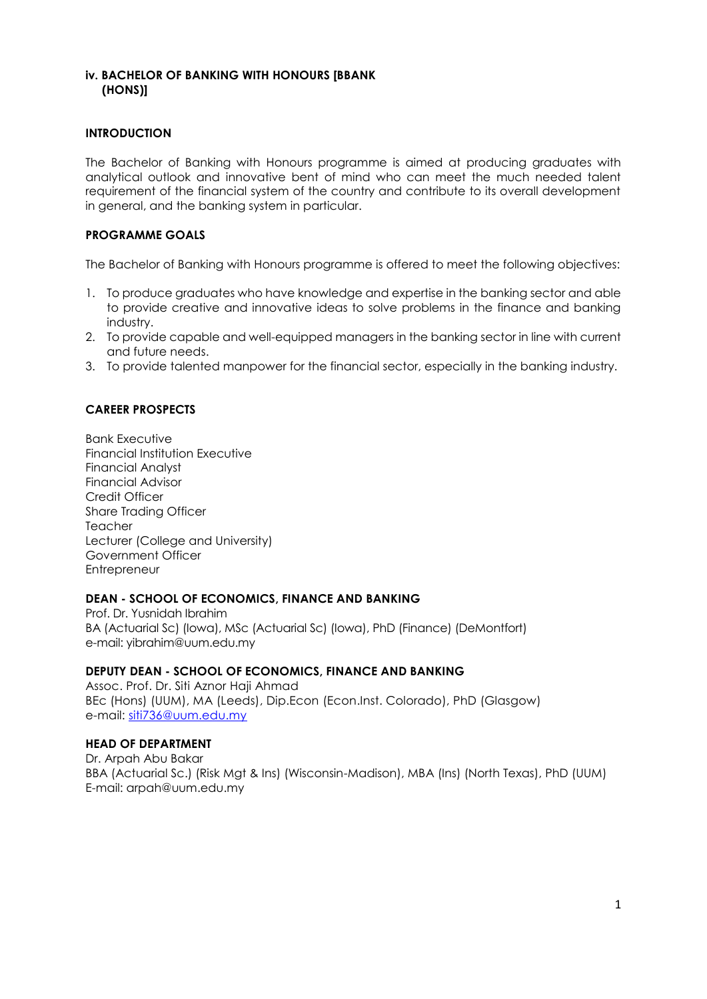## **iv. BACHELOR OF BANKING WITH HONOURS [BBANK (HONS)]**

#### **INTRODUCTION**

The Bachelor of Banking with Honours programme is aimed at producing graduates with analytical outlook and innovative bent of mind who can meet the much needed talent requirement of the financial system of the country and contribute to its overall development in general, and the banking system in particular.

#### **PROGRAMME GOALS**

The Bachelor of Banking with Honours programme is offered to meet the following objectives:

- 1. To produce graduates who have knowledge and expertise in the banking sector and able to provide creative and innovative ideas to solve problems in the finance and banking industry.
- 2. To provide capable and well-equipped managers in the banking sector in line with current and future needs.
- 3. To provide talented manpower for the financial sector, especially in the banking industry.

#### **CAREER PROSPECTS**

Bank Executive Financial Institution Executive Financial Analyst Financial Advisor Credit Officer Share Trading Officer Teacher Lecturer (College and University) Government Officer **Entrepreneur** 

#### **DEAN - SCHOOL OF ECONOMICS, FINANCE AND BANKING**

Prof. Dr. Yusnidah Ibrahim BA (Actuarial Sc) (Iowa), MSc (Actuarial Sc) (Iowa), PhD (Finance) (DeMontfort) e-mail[: yibrahim@uum.edu.my](mailto:aali@uum.edu.my)

#### **DEPUTY DEAN - SCHOOL OF ECONOMICS, FINANCE AND BANKING**

Assoc. Prof. Dr. Siti Aznor Haji Ahmad BEc (Hons) (UUM), MA (Leeds), Dip.Econ (Econ.Inst. Colorado), PhD (Glasgow) e-mail: [siti736@uum.edu.my](mailto:siti736@uum.edu.my)

#### **HEAD OF DEPARTMENT**

Dr. Arpah Abu Bakar BBA (Actuarial Sc.) (Risk Mgt & Ins) (Wisconsin-Madison), MBA (Ins) (North Texas), PhD (UUM) E-mail: arpah@uum.edu.my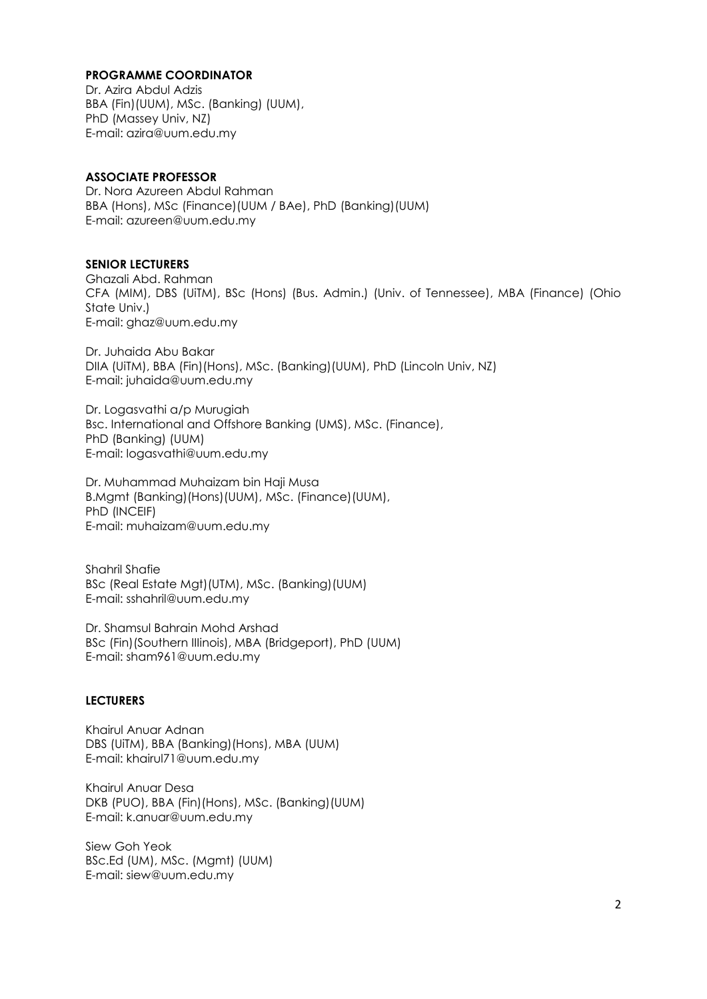#### **PROGRAMME COORDINATOR**

Dr. Azira Abdul Adzis BBA (Fin)(UUM), MSc. (Banking) (UUM), PhD (Massey Univ, NZ) E-mail: azira@uum.edu.my

#### **ASSOCIATE PROFESSOR**

Dr. Nora Azureen Abdul Rahman BBA (Hons), MSc (Finance)(UUM / BAe), PhD (Banking)(UUM) E-mail: azureen@uum.edu.my

#### **SENIOR LECTURERS**

Ghazali Abd. Rahman CFA (MIM), DBS (UiTM), BSc (Hons) (Bus. Admin.) (Univ. of Tennessee), MBA (Finance) (Ohio State Univ.) E-mail: [ghaz@uum.edu.my](mailto:ghaz@uum.edu.my)

Dr. Juhaida Abu Bakar DIIA (UiTM), BBA (Fin)(Hons), MSc. (Banking)(UUM), PhD (Lincoln Univ, NZ) E-mail: juhaida@uum.edu.my

Dr. Logasvathi a/p Murugiah Bsc. International and Offshore Banking (UMS), MSc. (Finance), PhD (Banking) (UUM) E-mail: [logasvathi@uum.edu.my](mailto:logasvathi@uum.edu.my)

Dr. Muhammad Muhaizam bin Haji Musa B.Mgmt (Banking)(Hons)(UUM), MSc. (Finance)(UUM), PhD (INCEIF) E-mail: [muhaizam@uum.edu.my](https://uummail.uum.edu.my/OWA/redir.aspx?C=316134b06fae444581b2bc670d646f2b&URL=mailto%3amuhaizam%40uum.edu.my)

Shahril Shafie BSc (Real Estate Mgt)(UTM), MSc. (Banking)(UUM) E-mail: [sshahril@uum.edu.my](mailto:sshahril@uum.edu.my)

Dr. Shamsul Bahrain Mohd Arshad BSc (Fin)(Southern IIIinois), MBA (Bridgeport), PhD (UUM) E-mail: sham961@uum.edu.my

#### **LECTURERS**

Khairul Anuar Adnan DBS (UiTM), BBA (Banking)(Hons), MBA (UUM) E-mail: khairul71@uum.edu.my

Khairul Anuar Desa DKB (PUO), BBA (Fin)(Hons), MSc. (Banking)(UUM) E-mail: k.anuar@uum.edu.my

Siew Goh Yeok BSc.Ed (UM), MSc. (Mgmt) (UUM) E-mail: [siew@uum.edu.my](mailto:siew@uum.edu.my)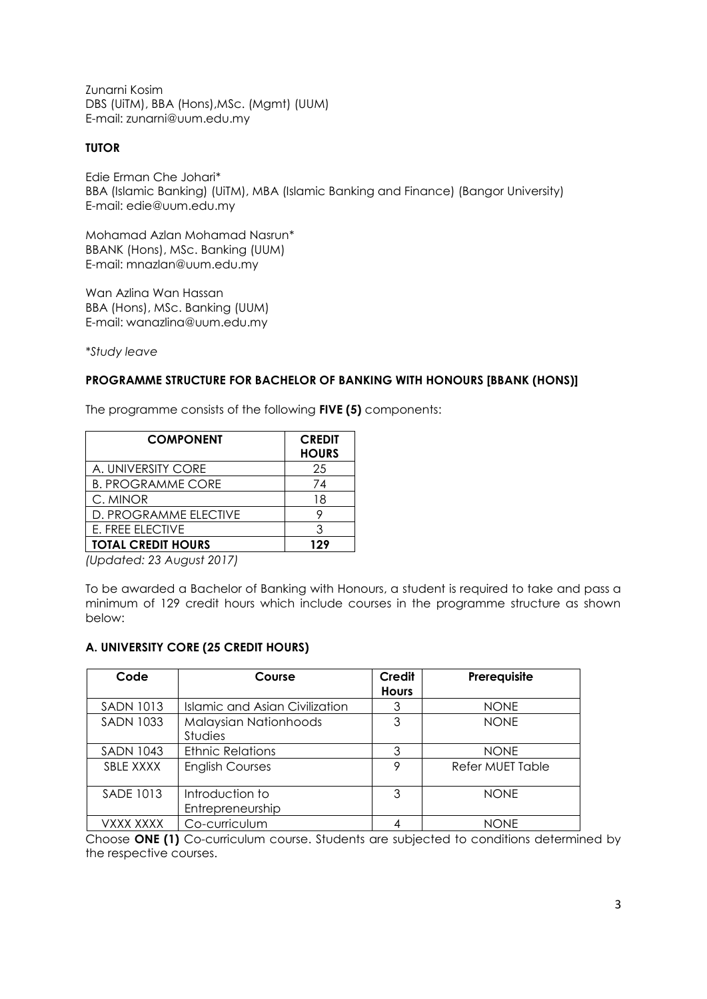Zunarni Kosim DBS (UiTM), BBA (Hons),MSc. (Mgmt) (UUM) E-mail: zunarni@uum.edu.my

#### **TUTOR**

Edie Erman Che Johari\* BBA (Islamic Banking) (UiTM), MBA (Islamic Banking and Finance) (Bangor University) E-mail: edie@uum.edu.my

Mohamad Azlan Mohamad Nasrun\* BBANK (Hons), MSc. Banking (UUM) E-mail: mnazlan@uum.edu.my

Wan Azlina Wan Hassan BBA (Hons), MSc. Banking (UUM) E-mail: wanazlina@uum.edu.my

*\*Study leave*

#### **PROGRAMME STRUCTURE FOR BACHELOR OF BANKING WITH HONOURS [BBANK (HONS)]**

The programme consists of the following **FIVE (5)** components:

| <b>COMPONENT</b>          | <b>CREDIT</b><br><b>HOURS</b> |
|---------------------------|-------------------------------|
| A. UNIVERSITY CORE        | 25                            |
| <b>B. PROGRAMME CORE</b>  | 74                            |
| C. MINOR                  | 18                            |
| D. PROGRAMME ELECTIVE     |                               |
| <b>E. FREE ELECTIVE</b>   | З                             |
| <b>TOTAL CREDIT HOURS</b> | 129                           |

*(Updated: 23 August 2017)*

To be awarded a Bachelor of Banking with Honours, a student is required to take and pass a minimum of 129 credit hours which include courses in the programme structure as shown below:

## **A. UNIVERSITY CORE (25 CREDIT HOURS)**

| Code             | Course                                  | Credit<br><b>Hours</b> | Prerequisite            |
|------------------|-----------------------------------------|------------------------|-------------------------|
| <b>SADN 1013</b> | Islamic and Asian Civilization          | 3                      | <b>NONE</b>             |
| <b>SADN 1033</b> | Malaysian Nationhoods<br><b>Studies</b> | 3                      | <b>NONE</b>             |
| <b>SADN 1043</b> | <b>Ethnic Relations</b>                 | 3                      | <b>NONE</b>             |
| SBLE XXXX        | <b>English Courses</b>                  | Q                      | <b>Refer MUET Table</b> |
| <b>SADE 1013</b> | Introduction to<br>Entrepreneurship     | 3                      | <b>NONF</b>             |
| VXXX XXXX        | Co-curriculum                           |                        | <b>NONE</b>             |

Choose **ONE (1)** Co-curriculum course. Students are subjected to conditions determined by the respective courses.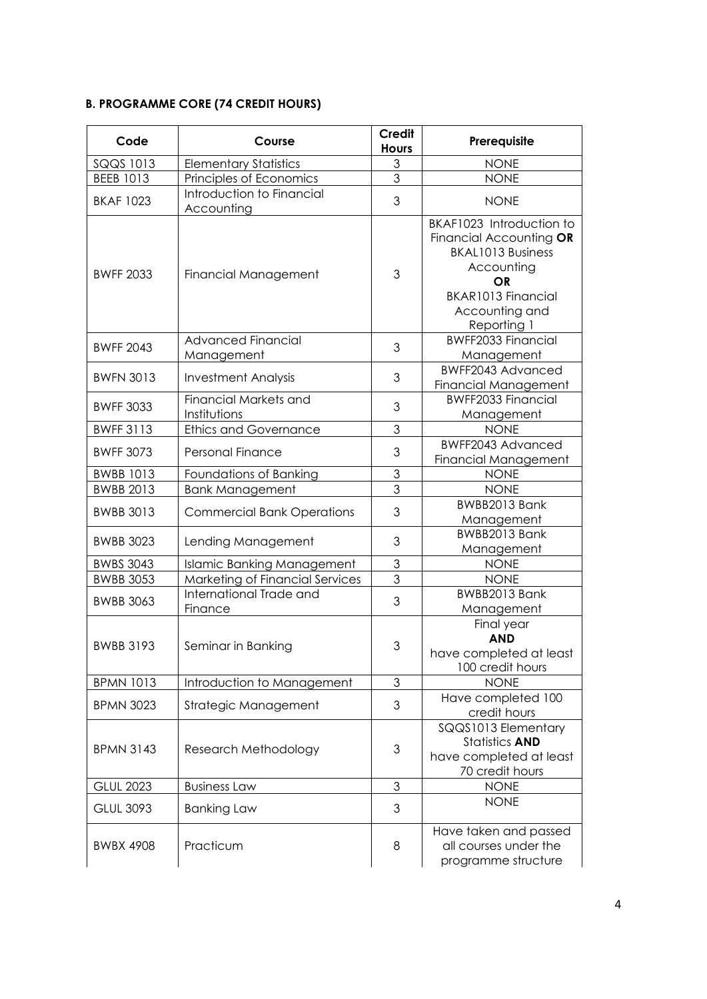## **B. PROGRAMME CORE (74 CREDIT HOURS)**

| Code             | Course                                       | <b>Credit</b><br><b>Hours</b> | Prerequisite                                                                                                                                                      |
|------------------|----------------------------------------------|-------------------------------|-------------------------------------------------------------------------------------------------------------------------------------------------------------------|
| SQQS 1013        | <b>Elementary Statistics</b>                 | 3                             | <b>NONE</b>                                                                                                                                                       |
| <b>BEEB 1013</b> | Principles of Economics                      | $\overline{3}$                | <b>NONE</b>                                                                                                                                                       |
| <b>BKAF 1023</b> | Introduction to Financial<br>Accounting      | 3                             | <b>NONE</b>                                                                                                                                                       |
| <b>BWFF 2033</b> | Financial Management                         | 3                             | BKAF1023 Introduction to<br>Financial Accounting OR<br><b>BKAL1013 Business</b><br>Accounting<br><b>OR</b><br>BKAR1013 Financial<br>Accounting and<br>Reporting 1 |
| <b>BWFF 2043</b> | <b>Advanced Financial</b><br>Management      | 3                             | <b>BWFF2033 Financial</b><br>Management                                                                                                                           |
| <b>BWFN 3013</b> | <b>Investment Analysis</b>                   | 3                             | <b>BWFF2043 Advanced</b><br><b>Financial Management</b>                                                                                                           |
| <b>BWFF 3033</b> | <b>Financial Markets and</b><br>Institutions | 3                             | <b>BWFF2033 Financial</b><br>Management                                                                                                                           |
| <b>BWFF 3113</b> | <b>Ethics and Governance</b>                 | $\overline{\omega}$           | <b>NONE</b>                                                                                                                                                       |
| <b>BWFF 3073</b> | <b>Personal Finance</b>                      | 3                             | <b>BWFF2043 Advanced</b><br>Financial Management                                                                                                                  |
| <b>BWBB 1013</b> | Foundations of Banking                       | 3                             | <b>NONE</b>                                                                                                                                                       |
| <b>BWBB 2013</b> | <b>Bank Management</b>                       | 3                             | <b>NONE</b>                                                                                                                                                       |
| <b>BWBB 3013</b> | <b>Commercial Bank Operations</b>            | 3                             | BWBB2013 Bank<br>Management                                                                                                                                       |
| <b>BWBB 3023</b> | Lending Management                           | 3                             | BWBB2013 Bank<br>Management                                                                                                                                       |
| <b>BWBS 3043</b> | Islamic Banking Management                   | $\mathfrak{S}$                | <b>NONE</b>                                                                                                                                                       |
| <b>BWBB 3053</b> | Marketing of Financial Services              | $\overline{3}$                | <b>NONE</b>                                                                                                                                                       |
| <b>BWBB 3063</b> | International Trade and<br>Finance           | 3                             | BWBB2013 Bank<br>Management                                                                                                                                       |
| <b>BWBB 3193</b> | Seminar in Banking                           | 3                             | Final year<br><b>AND</b><br>have completed at least<br>100 credit hours                                                                                           |
| <b>BPMN 1013</b> | Introduction to Management                   | $\mathfrak 3$                 | <b>NONE</b>                                                                                                                                                       |
| <b>BPMN 3023</b> | Strategic Management                         | 3                             | Have completed 100<br>credit hours                                                                                                                                |
| <b>BPMN 3143</b> | Research Methodology                         | $\ensuremath{\mathsf{3}}$     | SQQS1013 Elementary<br><b>Statistics AND</b><br>have completed at least<br>70 credit hours                                                                        |
| <b>GLUL 2023</b> | <b>Business Law</b>                          | 3                             | <b>NONE</b>                                                                                                                                                       |
| <b>GLUL 3093</b> | <b>Banking Law</b>                           | 3                             | <b>NONE</b>                                                                                                                                                       |
| <b>BWBX 4908</b> | Practicum                                    | 8                             | Have taken and passed<br>all courses under the<br>programme structure                                                                                             |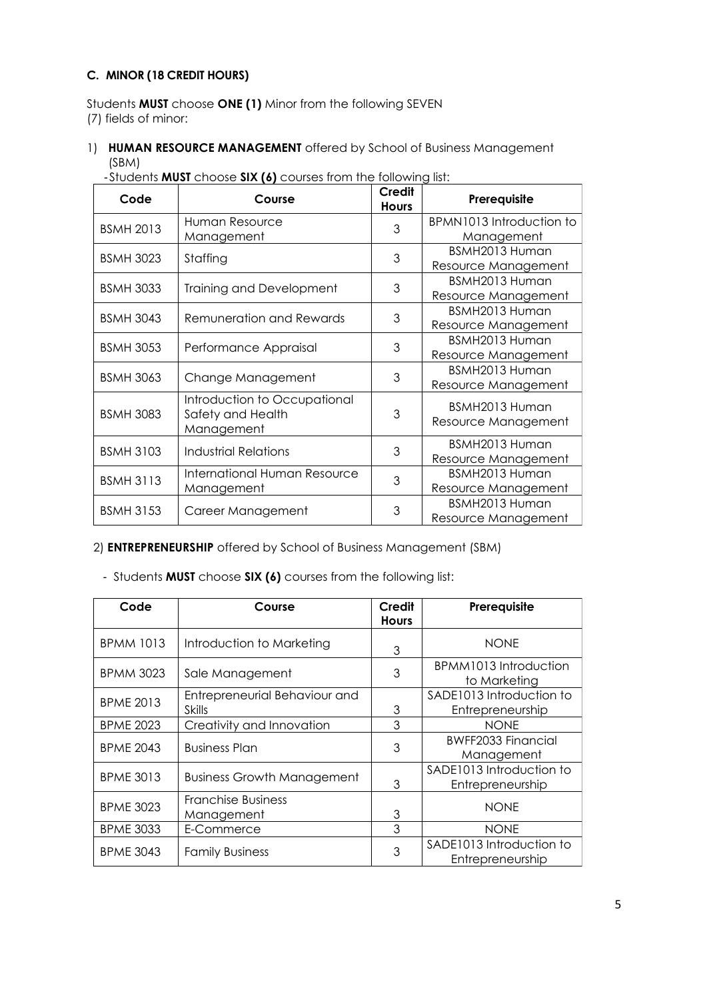## **C. MINOR (18 CREDIT HOURS)**

Students **MUST** choose **ONE (1)** Minor from the following SEVEN (7) fields of minor:

1) **HUMAN RESOURCE MANAGEMENT** offered by School of Business Management (SBM)

| Code             | Course                                                          | Credit<br><b>Hours</b> | Prerequisite                                        |
|------------------|-----------------------------------------------------------------|------------------------|-----------------------------------------------------|
| <b>BSMH 2013</b> | Human Resource                                                  | 3                      | BPMN1013 Introduction to                            |
| <b>BSMH 3023</b> | Management<br>Staffing                                          | 3                      | Management<br>BSMH2013 Human<br>Resource Management |
| <b>BSMH 3033</b> | <b>Training and Development</b>                                 | 3                      | BSMH2013 Human<br>Resource Management               |
| <b>BSMH 3043</b> | <b>Remuneration and Rewards</b>                                 | 3                      | BSMH2013 Human<br>Resource Management               |
| <b>BSMH 3053</b> | Performance Appraisal                                           | 3                      | BSMH2013 Human<br>Resource Management               |
| <b>BSMH 3063</b> | Change Management                                               | 3                      | BSMH2013 Human<br>Resource Management               |
| <b>BSMH 3083</b> | Introduction to Occupational<br>Safety and Health<br>Management | 3                      | BSMH2013 Human<br>Resource Management               |
| <b>BSMH 3103</b> | <b>Industrial Relations</b>                                     | 3                      | BSMH2013 Human<br>Resource Management               |
| <b>BSMH 3113</b> | International Human Resource<br>Management                      | 3                      | BSMH2013 Human<br>Resource Management               |
| <b>BSMH 3153</b> | Career Management                                               | 3                      | BSMH2013 Human<br>Resource Management               |

- Students **MUST** choose **SIX (6)** courses from the following list:

## 2) **ENTREPRENEURSHIP** offered by School of Business Management (SBM)

| Code             | Course                                         | Credit<br><b>Hours</b> | Prerequisite                                 |
|------------------|------------------------------------------------|------------------------|----------------------------------------------|
| <b>BPMM 1013</b> | Introduction to Marketing                      | 3                      | <b>NONE</b>                                  |
| <b>BPMM 3023</b> | Sale Management                                | 3                      | BPMM1013 Introduction<br>to Marketing        |
| <b>BPME 2013</b> | Entrepreneurial Behaviour and<br><b>Skills</b> | 3                      | SADE1013 Introduction to<br>Entrepreneurship |
| <b>BPME 2023</b> | Creativity and Innovation                      | 3                      | <b>NONE</b>                                  |
| <b>BPME 2043</b> | <b>Business Plan</b>                           | 3                      | <b>BWFF2033 Financial</b><br>Management      |
| <b>BPME 3013</b> | <b>Business Growth Management</b>              | 3                      | SADE1013 Introduction to<br>Entrepreneurship |
| <b>BPME 3023</b> | <b>Franchise Business</b><br>Management        | 3                      | <b>NONE</b>                                  |
| <b>BPME 3033</b> | E-Commerce                                     | 3                      | <b>NONE</b>                                  |
| <b>BPME 3043</b> | <b>Family Business</b>                         | 3                      | SADE1013 Introduction to<br>Entrepreneurship |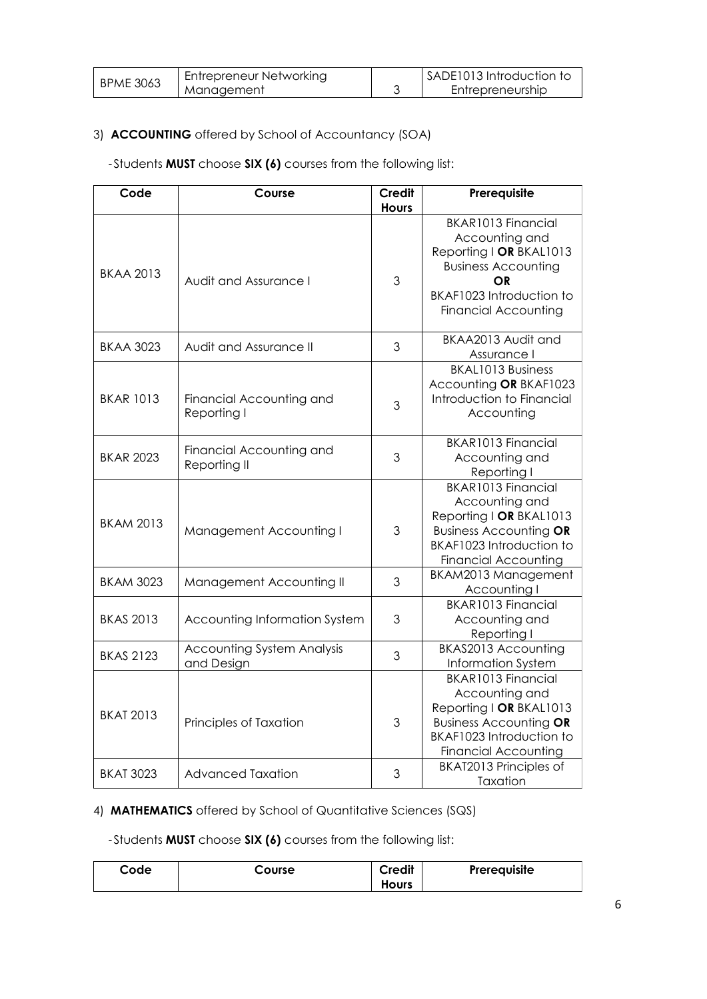| <b>BPME 3063</b> | Entrepreneur Networking | SADE1013 Introduction to |
|------------------|-------------------------|--------------------------|
|                  | Management              | Entrepreneurship         |

## 3) **ACCOUNTING** offered by School of Accountancy (SOA)

## - Students **MUST** choose **SIX (6)** courses from the following list:

| Code             | Course                                          | <b>Credit</b> | Prerequisite                                                                                                                                                          |
|------------------|-------------------------------------------------|---------------|-----------------------------------------------------------------------------------------------------------------------------------------------------------------------|
|                  |                                                 | <b>Hours</b>  |                                                                                                                                                                       |
| <b>BKAA 2013</b> | Audit and Assurance I                           | 3             | <b>BKAR1013 Financial</b><br>Accounting and<br>Reporting   OR BKAL1013<br><b>Business Accounting</b><br>ΟR<br>BKAF1023 Introduction to<br><b>Financial Accounting</b> |
| <b>BKAA 3023</b> | Audit and Assurance II                          | 3             | BKAA2013 Audit and<br>Assurance I                                                                                                                                     |
| <b>BKAR 1013</b> | Financial Accounting and<br>Reporting I         | 3             | <b>BKAL1013 Business</b><br>Accounting OR BKAF1023<br>Introduction to Financial<br>Accounting                                                                         |
| <b>BKAR 2023</b> | Financial Accounting and<br>Reporting II        | 3             | <b>BKAR1013 Financial</b><br>Accounting and<br>Reporting I                                                                                                            |
| <b>BKAM 2013</b> | Management Accounting I                         | 3             | <b>BKAR1013 Financial</b><br>Accounting and<br>Reporting   OR BKAL1013<br><b>Business Accounting OR</b><br>BKAF1023 Introduction to<br><b>Financial Accounting</b>    |
| <b>BKAM 3023</b> | Management Accounting II                        | 3             | BKAM2013 Management<br>Accounting I                                                                                                                                   |
| <b>BKAS 2013</b> | Accounting Information System                   | 3             | <b>BKAR1013 Financial</b><br>Accounting and<br>Reporting I                                                                                                            |
| <b>BKAS 2123</b> | <b>Accounting System Analysis</b><br>and Design | 3             | BKAS2013 Accounting<br>Information System                                                                                                                             |
| <b>BKAT 2013</b> | Principles of Taxation                          | 3             | <b>BKAR1013 Financial</b><br>Accounting and<br>Reporting   OR BKAL1013<br><b>Business Accounting OR</b><br>BKAF1023 Introduction to<br><b>Financial Accounting</b>    |
| <b>BKAT 3023</b> | <b>Advanced Taxation</b>                        | 3             | <b>BKAT2013 Principles of</b><br>Taxation                                                                                                                             |

## 4) **MATHEMATICS** offered by School of Quantitative Sciences (SQS)

| Code | Course | <b>Credit</b> | Prerequisite |
|------|--------|---------------|--------------|
|      |        | <b>Hours</b>  |              |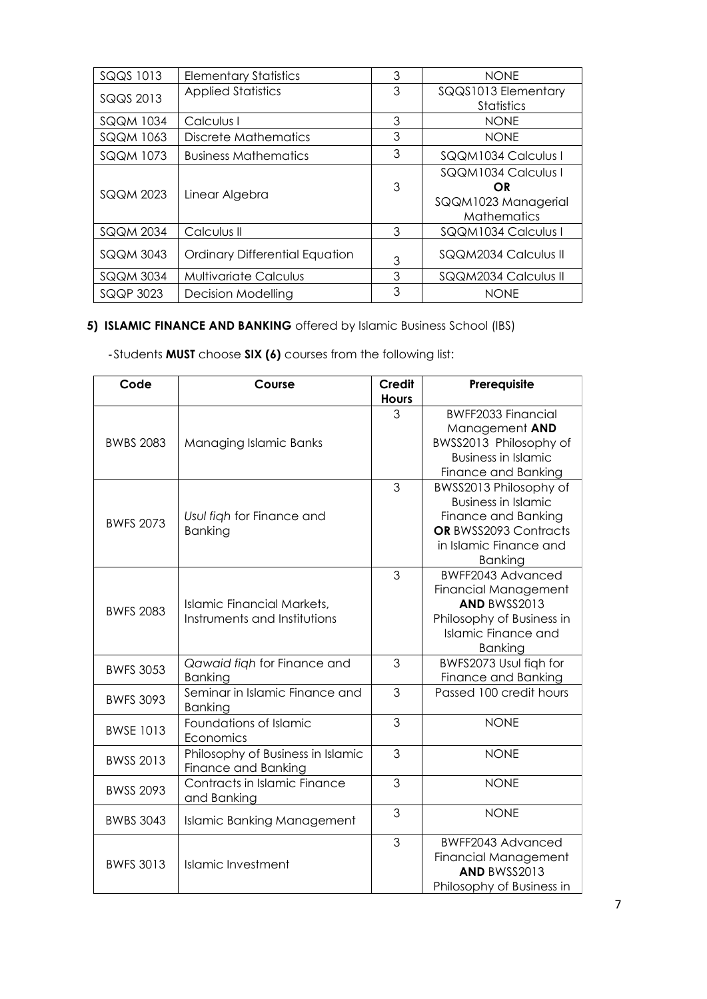| SQQS 1013        | <b>Elementary Statistics</b>          | 3 | <b>NONE</b>                                                            |
|------------------|---------------------------------------|---|------------------------------------------------------------------------|
| SQQS 2013        | <b>Applied Statistics</b>             | 3 | SQQS1013 Elementary<br>Statistics                                      |
| SQQM 1034        | Calculus I                            | 3 | <b>NONE</b>                                                            |
| <b>SQQM 1063</b> | Discrete Mathematics                  | 3 | <b>NONE</b>                                                            |
| SQQM 1073        | <b>Business Mathematics</b>           | 3 | SQQM1034 Calculus I                                                    |
| SQQM 2023        | Linear Algebra                        | 3 | SQQM1034 Calculus I<br>OR<br>SQQM1023 Managerial<br><b>Mathematics</b> |
| <b>SQQM 2034</b> | Calculus II                           | 3 | SQQM1034 Calculus I                                                    |
| SQQM 3043        | <b>Ordinary Differential Equation</b> | 3 | SQQM2034 Calculus II                                                   |
| SQQM 3034        | <b>Multivariate Calculus</b>          | 3 | SQQM2034 Calculus II                                                   |
| SQQP 3023        | <b>Decision Modelling</b>             | 3 | <b>NONE</b>                                                            |

# **5) ISLAMIC FINANCE AND BANKING** offered by Islamic Business School (IBS)

| Code             | Course                                                     | <b>Credit</b>  | Prerequisite                                                                                                                                     |
|------------------|------------------------------------------------------------|----------------|--------------------------------------------------------------------------------------------------------------------------------------------------|
|                  |                                                            | <b>Hours</b>   |                                                                                                                                                  |
| <b>BWBS 2083</b> | Managing Islamic Banks                                     | 3              | <b>BWFF2033 Financial</b><br>Management AND<br>BWSS2013 Philosophy of<br><b>Business in Islamic</b><br>Finance and Banking                       |
| <b>BWFS 2073</b> | Usul figh for Finance and<br><b>Banking</b>                | 3              | BWSS2013 Philosophy of<br><b>Business in Islamic</b><br>Finance and Banking<br>OR BWSS2093 Contracts<br>in Islamic Finance and<br><b>Banking</b> |
| <b>BWFS 2083</b> | Islamic Financial Markets,<br>Instruments and Institutions | 3              | <b>BWFF2043 Advanced</b><br><b>Financial Management</b><br>AND BWSS2013<br>Philosophy of Business in<br>Islamic Finance and<br><b>Banking</b>    |
| <b>BWFS 3053</b> | Qawaid figh for Finance and<br><b>Banking</b>              | 3              | BWFS2073 Usul figh for<br>Finance and Banking                                                                                                    |
| <b>BWFS 3093</b> | Seminar in Islamic Finance and<br><b>Banking</b>           | $\mathfrak{S}$ | Passed 100 credit hours                                                                                                                          |
| <b>BWSE 1013</b> | Foundations of Islamic<br>Economics                        | 3              | <b>NONE</b>                                                                                                                                      |
| <b>BWSS 2013</b> | Philosophy of Business in Islamic<br>Finance and Banking   | 3              | <b>NONE</b>                                                                                                                                      |
| <b>BWSS 2093</b> | Contracts in Islamic Finance<br>and Banking                | 3              | <b>NONE</b>                                                                                                                                      |
| <b>BWBS 3043</b> | <b>Islamic Banking Management</b>                          | 3              | <b>NONE</b>                                                                                                                                      |
| <b>BWFS 3013</b> | Islamic Investment                                         | 3              | BWFF2043 Advanced<br><b>Financial Management</b><br>AND BWSS2013<br>Philosophy of Business in                                                    |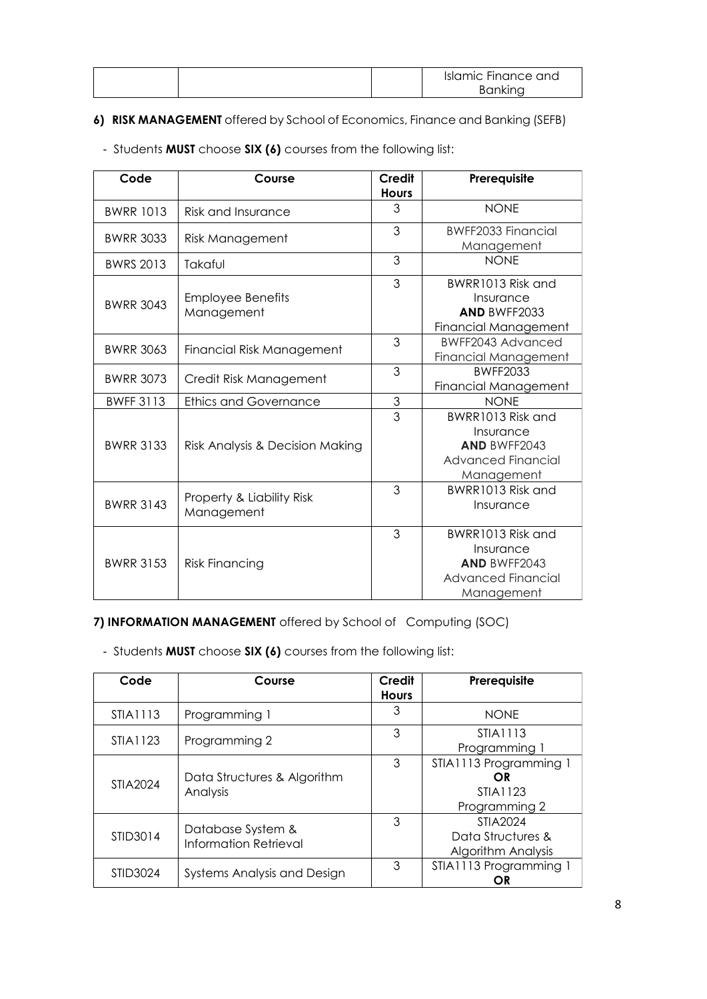|  | <b>Islamic Finance and</b> |
|--|----------------------------|
|  | Bankina                    |

## **6) RISK MANAGEMENT** offered by School of Economics, Finance and Banking (SEFB)

| Code             | Course                                  | <b>Credit</b><br><b>Hours</b> | Prerequisite                                                                                     |
|------------------|-----------------------------------------|-------------------------------|--------------------------------------------------------------------------------------------------|
| <b>BWRR 1013</b> | <b>Risk and Insurance</b>               | 3                             | <b>NONE</b>                                                                                      |
| <b>BWRR 3033</b> | <b>Risk Management</b>                  | 3                             | <b>BWFF2033 Financial</b><br>Management                                                          |
| <b>BWRS 2013</b> | Takaful                                 | 3                             | <b>NONF</b>                                                                                      |
| <b>BWRR 3043</b> | <b>Employee Benefits</b><br>Management  | 3                             | BWRR1013 Risk and<br>Insurance<br><b>AND BWFF2033</b><br>Financial Management                    |
| <b>BWRR 3063</b> | <b>Financial Risk Management</b>        | 3                             | BWFF2043 Advanced<br>Financial Management                                                        |
| <b>BWRR 3073</b> | Credit Risk Management                  | 3                             | BWFF2033<br><b>Financial Management</b>                                                          |
| <b>BWFF 3113</b> | <b>Ethics and Governance</b>            | 3                             | <b>NONE</b>                                                                                      |
| <b>BWRR 3133</b> | Risk Analysis & Decision Making         | 3                             | BWRR1013 Risk and<br>Insurance<br><b>AND BWFF2043</b><br><b>Advanced Financial</b><br>Management |
| <b>BWRR 3143</b> | Property & Liability Risk<br>Management | 3                             | BWRR1013 Risk and<br>Insurance                                                                   |
| <b>BWRR 3153</b> | <b>Risk Financing</b>                   | 3                             | BWRR1013 Risk and<br>Insurance<br><b>AND BWFF2043</b><br><b>Advanced Financial</b><br>Management |

- Students **MUST** choose **SIX (6)** courses from the following list:

**7) INFORMATION MANAGEMENT** offered by School of Computing (SOC)

| Code     | Course                                     | Credit<br><b>Hours</b> | Prerequisite                                               |
|----------|--------------------------------------------|------------------------|------------------------------------------------------------|
| STIA1113 | Programming 1                              | 3                      | <b>NONE</b>                                                |
| STIA1123 | Programming 2                              | 3                      | STIA1113<br>Programming 1                                  |
| STIA2024 | Data Structures & Algorithm<br>Analysis    | 3                      | STIA1113 Programming 1<br>OR<br>STIA1123<br>Programming 2  |
| STID3014 | Database System &<br>Information Retrieval | 3                      | STIA2024<br>Data Structures &<br><b>Algorithm Analysis</b> |
| STID3024 | Systems Analysis and Design                | 3                      | STIA1113 Programming 1<br>OR                               |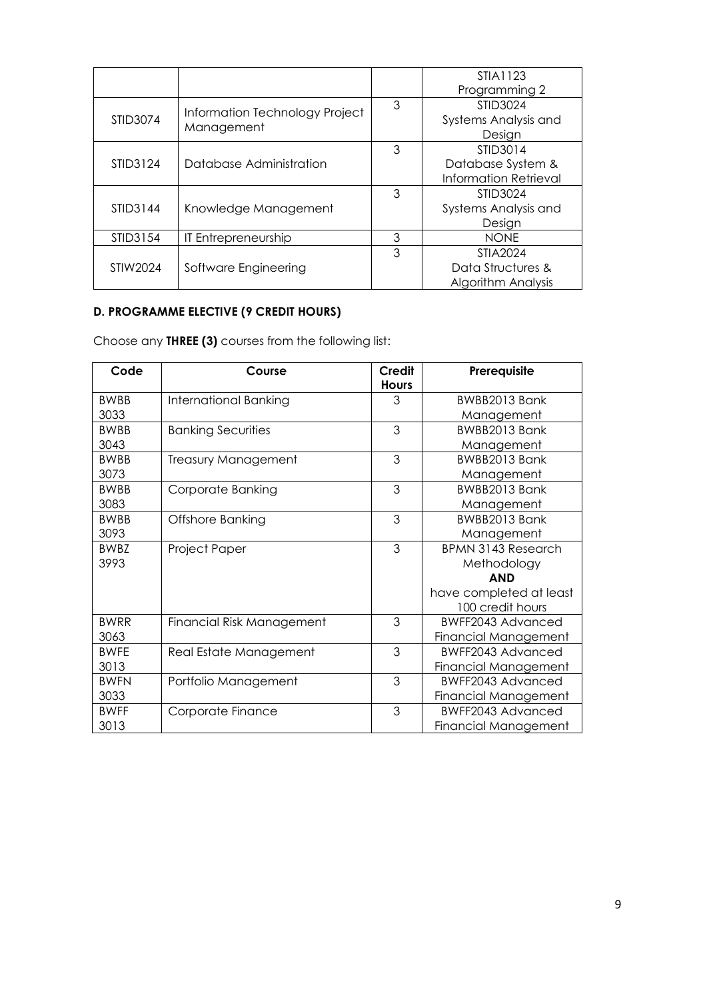|          |                                              |   | STIA1123                     |  |
|----------|----------------------------------------------|---|------------------------------|--|
|          |                                              |   | Programming 2                |  |
|          | Information Technology Project<br>Management | 3 | STID3024                     |  |
| STID3074 |                                              |   | Systems Analysis and         |  |
|          |                                              |   | Design                       |  |
| STID3124 |                                              | 3 | STID3014                     |  |
|          | Database Administration                      |   | Database System &            |  |
|          |                                              |   | <b>Information Retrieval</b> |  |
|          |                                              | 3 | STID3024                     |  |
| STID3144 | Knowledge Management                         |   | Systems Analysis and         |  |
|          |                                              |   | Design                       |  |
| STID3154 | IT Entrepreneurship                          | 3 | <b>NONE</b>                  |  |
| STIW2024 |                                              | 3 | STIA2024                     |  |
|          | Software Engineering                         |   | Data Structures &            |  |
|          |                                              |   | <b>Algorithm Analysis</b>    |  |

# **D. PROGRAMME ELECTIVE (9 CREDIT HOURS)**

Choose any **THREE (3)** courses from the following list:

| Code        | Course                           | Credit<br><b>Hours</b> | Prerequisite                |
|-------------|----------------------------------|------------------------|-----------------------------|
| <b>BWBB</b> | International Banking            | 3                      | BWBB2013 Bank               |
| 3033        |                                  |                        | Management                  |
| <b>BWBB</b> | <b>Banking Securities</b>        | 3                      | BWBB2013 Bank               |
| 3043        |                                  |                        | Management                  |
| <b>BWBB</b> | <b>Treasury Management</b>       | 3                      | BWBB2013 Bank               |
| 3073        |                                  |                        | Management                  |
| <b>BWBB</b> | Corporate Banking                | 3                      | BWBB2013 Bank               |
| 3083        |                                  |                        | Management                  |
| <b>BWBB</b> | Offshore Banking                 | 3                      | BWBB2013 Bank               |
| 3093        |                                  |                        | Management                  |
| <b>BWBZ</b> | Project Paper                    | 3                      | <b>BPMN 3143 Research</b>   |
| 3993        |                                  |                        | Methodology                 |
|             |                                  |                        | <b>AND</b>                  |
|             |                                  |                        | have completed at least     |
|             |                                  |                        | 100 credit hours            |
| <b>BWRR</b> | <b>Financial Risk Management</b> | 3                      | BWFF2043 Advanced           |
| 3063        |                                  |                        | <b>Financial Management</b> |
| <b>BWFE</b> | Real Estate Management           | 3                      | BWFF2043 Advanced           |
| 3013        |                                  |                        | <b>Financial Management</b> |
| <b>BWFN</b> | Portfolio Management             | 3                      | BWFF2043 Advanced           |
| 3033        |                                  |                        | <b>Financial Management</b> |
| <b>BWFF</b> | Corporate Finance                | 3                      | <b>BWFF2043 Advanced</b>    |
| 3013        |                                  |                        | Financial Management        |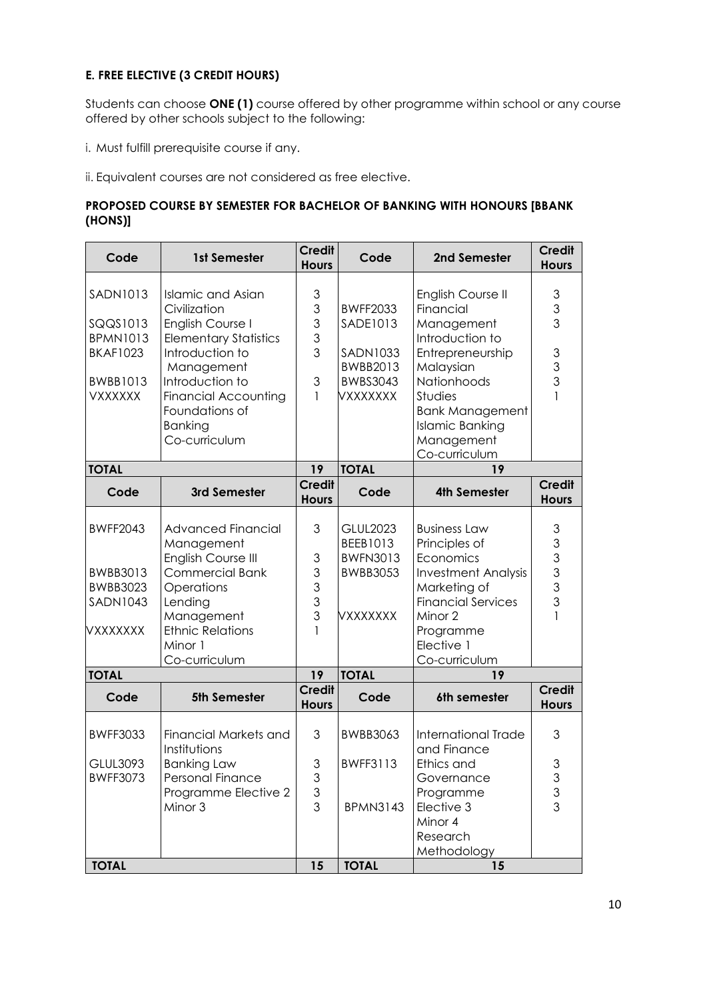## **E. FREE ELECTIVE (3 CREDIT HOURS)**

Students can choose **ONE (1)** course offered by other programme within school or any course offered by other schools subject to the following:

i. Must fulfill prerequisite course if any.

ii. Equivalent courses are not considered as free elective.

## **PROPOSED COURSE BY SEMESTER FOR BACHELOR OF BANKING WITH HONOURS [BBANK (HONS)]**

| Code            | 1st Semester                  | <b>Credit</b><br><b>Hours</b>                 | Code                        | 2nd Semester               | <b>Credit</b><br><b>Hours</b>                                                                          |
|-----------------|-------------------------------|-----------------------------------------------|-----------------------------|----------------------------|--------------------------------------------------------------------------------------------------------|
|                 |                               |                                               |                             |                            |                                                                                                        |
| <b>SADN1013</b> | <b>Islamic and Asian</b>      | 3                                             |                             | English Course II          | $\mathfrak 3$                                                                                          |
|                 | Civilization                  | $\mathfrak{S}$                                | <b>BWFF2033</b>             | Financial                  | $\mathfrak 3$                                                                                          |
| SQQS1013        | English Course I              | $\mathsf 3$                                   | SADE1013                    | Management                 | 3                                                                                                      |
| <b>BPMN1013</b> | <b>Elementary Statistics</b>  | 3<br>3                                        |                             | Introduction to            |                                                                                                        |
| <b>BKAF1023</b> | Introduction to               |                                               | <b>SADN1033</b><br>BWBB2013 | Entrepreneurship           | $\ensuremath{\mathsf{3}}$<br>$\mathfrak 3$                                                             |
| <b>BWBB1013</b> | Management<br>Introduction to | 3                                             | <b>BWBS3043</b>             | Malaysian<br>Nationhoods   | 3                                                                                                      |
| <b>VXXXXXX</b>  | <b>Financial Accounting</b>   | 1                                             | VXXXXXXX                    | Studies                    | $\mathbf{1}$                                                                                           |
|                 | Foundations of                |                                               |                             | <b>Bank Management</b>     |                                                                                                        |
|                 | <b>Banking</b>                |                                               |                             | <b>Islamic Banking</b>     |                                                                                                        |
|                 | Co-curriculum                 |                                               |                             | Management                 |                                                                                                        |
|                 |                               |                                               |                             | Co-curriculum              |                                                                                                        |
| <b>TOTAL</b>    |                               | 19                                            | <b>TOTAL</b>                | 19                         |                                                                                                        |
| Code            | 3rd Semester                  | <b>Credit</b>                                 | Code                        | <b>4th Semester</b>        | <b>Credit</b>                                                                                          |
|                 |                               | <b>Hours</b>                                  |                             |                            | <b>Hours</b>                                                                                           |
|                 |                               |                                               |                             |                            |                                                                                                        |
| <b>BWFF2043</b> | <b>Advanced Financial</b>     | 3                                             | <b>GLUL2023</b>             | <b>Business Law</b>        | $\mathfrak{S}$                                                                                         |
|                 | Management                    |                                               | BEEB1013                    | Principles of              | $\mathsf 3$                                                                                            |
|                 | English Course III            | $\ensuremath{\mathsf{3}}$                     | <b>BWFN3013</b>             | Economics                  | 3                                                                                                      |
| <b>BWBB3013</b> | <b>Commercial Bank</b>        | $\mathsf 3$                                   | <b>BWBB3053</b>             | <b>Investment Analysis</b> | 3                                                                                                      |
| <b>BWBB3023</b> | Operations                    | $\mathsf 3$                                   |                             | Marketing of               | 3                                                                                                      |
| <b>SADN1043</b> | Lending                       | $\mathfrak{S}$                                |                             | <b>Financial Services</b>  | 3                                                                                                      |
|                 | Management                    | 3                                             | <b>VXXXXXXX</b>             | Minor 2                    |                                                                                                        |
| VXXXXXXX        | <b>Ethnic Relations</b>       | 1                                             |                             | Programme                  |                                                                                                        |
|                 | Minor 1                       |                                               |                             | Elective 1                 |                                                                                                        |
|                 | Co-curriculum                 | 19                                            | <b>TOTAL</b>                | Co-curriculum<br>19        |                                                                                                        |
| <b>TOTAL</b>    |                               | <b>Credit</b>                                 |                             |                            | <b>Credit</b>                                                                                          |
| Code            | 5th Semester                  | <b>Hours</b>                                  | Code                        | 6th semester               | <b>Hours</b>                                                                                           |
|                 |                               |                                               |                             |                            |                                                                                                        |
| <b>BWFF3033</b> | <b>Financial Markets and</b>  | 3                                             | <b>BWBB3063</b>             | International Trade        | 3                                                                                                      |
|                 | Institutions                  |                                               |                             | and Finance                |                                                                                                        |
| <b>GLUL3093</b> | <b>Banking Law</b>            | 3                                             | <b>BWFF3113</b>             | Ethics and                 | 3                                                                                                      |
| <b>BWFF3073</b> | Personal Finance              | $\mathfrak{S}% _{C}=\mathfrak{S}_{C}^{\ast }$ |                             | Governance                 | $\mathfrak{S}% _{A}^{\ast}=\mathfrak{S}_{A}\!\left( A;B\right) ,\ \mathfrak{S}_{A}\!\left( A;B\right)$ |
|                 | Programme Elective 2          | $\mathfrak 3$                                 |                             | Programme                  | $\ensuremath{\mathsf{3}}$                                                                              |
|                 | Minor 3                       | 3                                             | <b>BPMN3143</b>             | Elective 3                 | 3                                                                                                      |
|                 |                               |                                               |                             | Minor 4                    |                                                                                                        |
|                 |                               |                                               |                             | Research                   |                                                                                                        |
|                 |                               |                                               |                             | Methodology                |                                                                                                        |
| <b>TOTAL</b>    |                               | 15                                            | <b>TOTAL</b>                | 15                         |                                                                                                        |